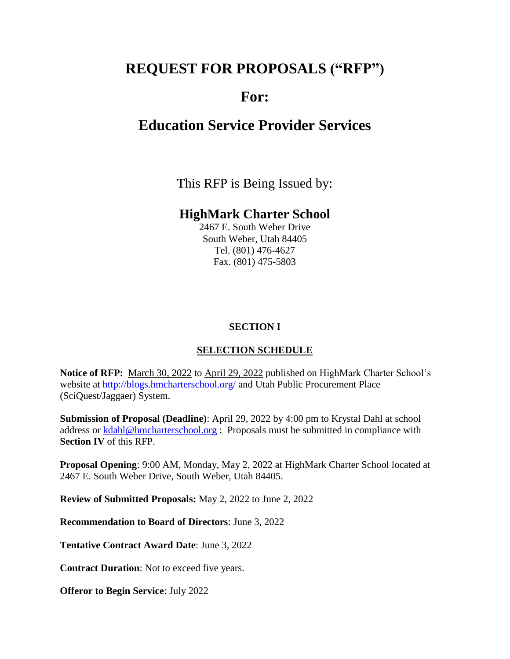# **REQUEST FOR PROPOSALS ("RFP")**

# **For:**

# **Education Service Provider Services**

This RFP is Being Issued by:

## **HighMark Charter School**

2467 E. South Weber Drive South Weber, Utah 84405 Tel. (801) 476-4627 Fax. (801) 475-5803

### **SECTION I**

### **SELECTION SCHEDULE**

**Notice of RFP:** March 30, 2022 to April 29, 2022 published on HighMark Charter School's website at<http://blogs.hmcharterschool.org/> and Utah Public Procurement Place (SciQuest/Jaggaer) System.

**Submission of Proposal (Deadline)**: April 29, 2022 by 4:00 pm to Krystal Dahl at school address or [kdahl@hmcharterschool.org](mailto:kdahl@hmcharterschool.org) : Proposals must be submitted in compliance with **Section IV** of this RFP.

**Proposal Opening**: 9:00 AM, Monday, May 2, 2022 at HighMark Charter School located at 2467 E. South Weber Drive, South Weber, Utah 84405.

**Review of Submitted Proposals:** May 2, 2022 to June 2, 2022

**Recommendation to Board of Directors**: June 3, 2022

**Tentative Contract Award Date**: June 3, 2022

**Contract Duration**: Not to exceed five years.

**Offeror to Begin Service**: July 2022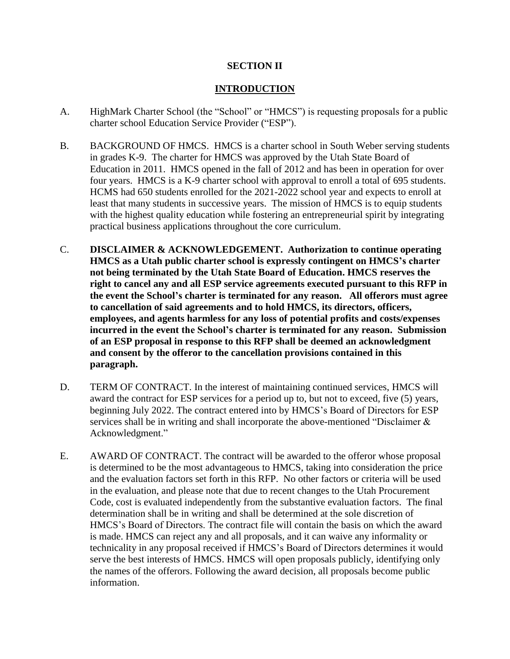#### **SECTION II**

#### **INTRODUCTION**

- A. HighMark Charter School (the "School" or "HMCS") is requesting proposals for a public charter school Education Service Provider ("ESP").
- B. BACKGROUND OF HMCS. HMCS is a charter school in South Weber serving students in grades K-9. The charter for HMCS was approved by the Utah State Board of Education in 2011. HMCS opened in the fall of 2012 and has been in operation for over four years. HMCS is a K-9 charter school with approval to enroll a total of 695 students. HCMS had 650 students enrolled for the 2021-2022 school year and expects to enroll at least that many students in successive years. The mission of HMCS is to equip students with the highest quality education while fostering an entrepreneurial spirit by integrating practical business applications throughout the core curriculum.
- C. **DISCLAIMER & ACKNOWLEDGEMENT. Authorization to continue operating HMCS as a Utah public charter school is expressly contingent on HMCS's charter not being terminated by the Utah State Board of Education. HMCS reserves the right to cancel any and all ESP service agreements executed pursuant to this RFP in the event the School's charter is terminated for any reason. All offerors must agree to cancellation of said agreements and to hold HMCS, its directors, officers, employees, and agents harmless for any loss of potential profits and costs/expenses incurred in the event the School's charter is terminated for any reason. Submission of an ESP proposal in response to this RFP shall be deemed an acknowledgment and consent by the offeror to the cancellation provisions contained in this paragraph.**
- D. TERM OF CONTRACT. In the interest of maintaining continued services, HMCS will award the contract for ESP services for a period up to, but not to exceed, five (5) years, beginning July 2022. The contract entered into by HMCS's Board of Directors for ESP services shall be in writing and shall incorporate the above-mentioned "Disclaimer & Acknowledgment."
- E. AWARD OF CONTRACT. The contract will be awarded to the offeror whose proposal is determined to be the most advantageous to HMCS, taking into consideration the price and the evaluation factors set forth in this RFP. No other factors or criteria will be used in the evaluation, and please note that due to recent changes to the Utah Procurement Code, cost is evaluated independently from the substantive evaluation factors. The final determination shall be in writing and shall be determined at the sole discretion of HMCS's Board of Directors. The contract file will contain the basis on which the award is made. HMCS can reject any and all proposals, and it can waive any informality or technicality in any proposal received if HMCS's Board of Directors determines it would serve the best interests of HMCS. HMCS will open proposals publicly, identifying only the names of the offerors. Following the award decision, all proposals become public information.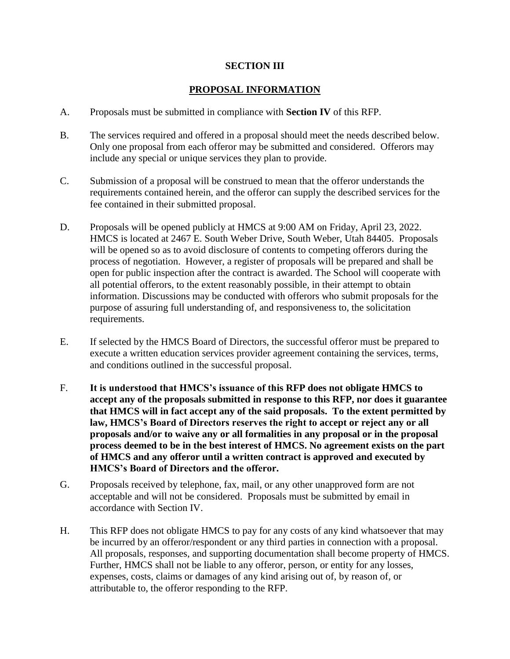#### **SECTION III**

#### **PROPOSAL INFORMATION**

- A. Proposals must be submitted in compliance with **Section IV** of this RFP.
- B. The services required and offered in a proposal should meet the needs described below. Only one proposal from each offeror may be submitted and considered. Offerors may include any special or unique services they plan to provide.
- C. Submission of a proposal will be construed to mean that the offeror understands the requirements contained herein, and the offeror can supply the described services for the fee contained in their submitted proposal.
- D. Proposals will be opened publicly at HMCS at 9:00 AM on Friday, April 23, 2022. HMCS is located at 2467 E. South Weber Drive, South Weber, Utah 84405. Proposals will be opened so as to avoid disclosure of contents to competing offerors during the process of negotiation. However, a register of proposals will be prepared and shall be open for public inspection after the contract is awarded. The School will cooperate with all potential offerors, to the extent reasonably possible, in their attempt to obtain information. Discussions may be conducted with offerors who submit proposals for the purpose of assuring full understanding of, and responsiveness to, the solicitation requirements.
- E. If selected by the HMCS Board of Directors, the successful offeror must be prepared to execute a written education services provider agreement containing the services, terms, and conditions outlined in the successful proposal.
- F. **It is understood that HMCS's issuance of this RFP does not obligate HMCS to accept any of the proposals submitted in response to this RFP, nor does it guarantee that HMCS will in fact accept any of the said proposals. To the extent permitted by law, HMCS's Board of Directors reserves the right to accept or reject any or all proposals and/or to waive any or all formalities in any proposal or in the proposal process deemed to be in the best interest of HMCS. No agreement exists on the part of HMCS and any offeror until a written contract is approved and executed by HMCS's Board of Directors and the offeror.**
- G. Proposals received by telephone, fax, mail, or any other unapproved form are not acceptable and will not be considered. Proposals must be submitted by email in accordance with Section IV.
- H. This RFP does not obligate HMCS to pay for any costs of any kind whatsoever that may be incurred by an offeror/respondent or any third parties in connection with a proposal. All proposals, responses, and supporting documentation shall become property of HMCS. Further, HMCS shall not be liable to any offeror, person, or entity for any losses, expenses, costs, claims or damages of any kind arising out of, by reason of, or attributable to, the offeror responding to the RFP.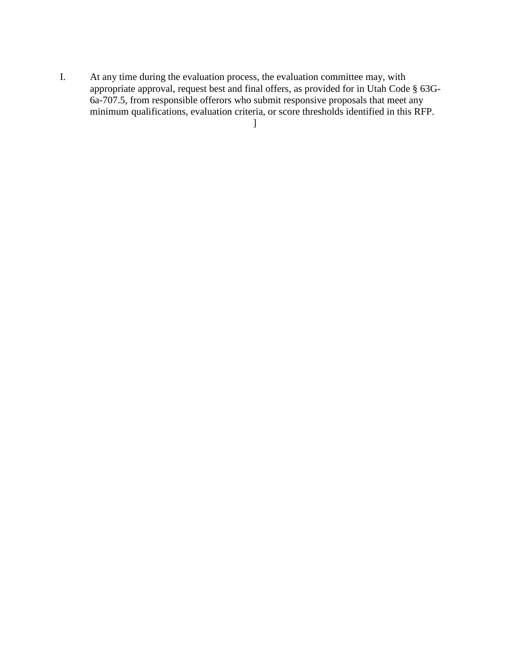I. At any time during the evaluation process, the evaluation committee may, with appropriate approval, request best and final offers, as provided for in Utah Code § 63G-6a-707.5, from responsible offerors who submit responsive proposals that meet any minimum qualifications, evaluation criteria, or score thresholds identified in this RFP.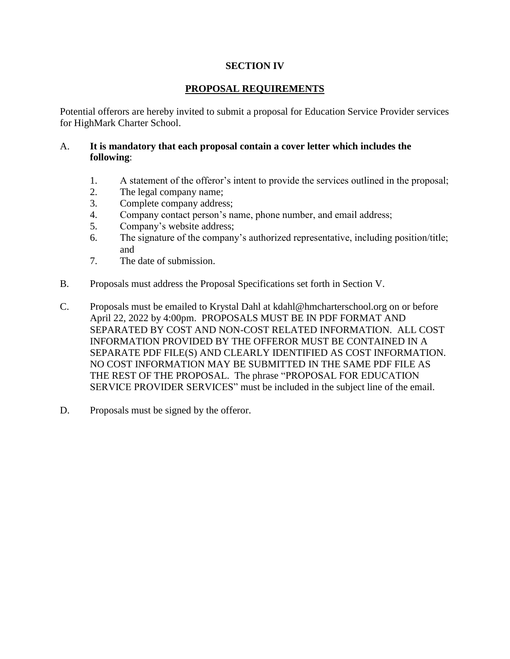#### **SECTION IV**

#### **PROPOSAL REQUIREMENTS**

Potential offerors are hereby invited to submit a proposal for Education Service Provider services for HighMark Charter School.

#### A. **It is mandatory that each proposal contain a cover letter which includes the following**:

- 1. A statement of the offeror's intent to provide the services outlined in the proposal;
- 2. The legal company name;
- 3. Complete company address;
- 4. Company contact person's name, phone number, and email address;
- 5. Company's website address;
- 6. The signature of the company's authorized representative, including position/title; and
- 7. The date of submission.
- B. Proposals must address the Proposal Specifications set forth in Section V.
- C. Proposals must be emailed to Krystal Dahl at kdahl@hmcharterschool.org on or before April 22, 2022 by 4:00pm. PROPOSALS MUST BE IN PDF FORMAT AND SEPARATED BY COST AND NON-COST RELATED INFORMATION. ALL COST INFORMATION PROVIDED BY THE OFFEROR MUST BE CONTAINED IN A SEPARATE PDF FILE(S) AND CLEARLY IDENTIFIED AS COST INFORMATION. NO COST INFORMATION MAY BE SUBMITTED IN THE SAME PDF FILE AS THE REST OF THE PROPOSAL. The phrase "PROPOSAL FOR EDUCATION SERVICE PROVIDER SERVICES" must be included in the subject line of the email.
- D. Proposals must be signed by the offeror.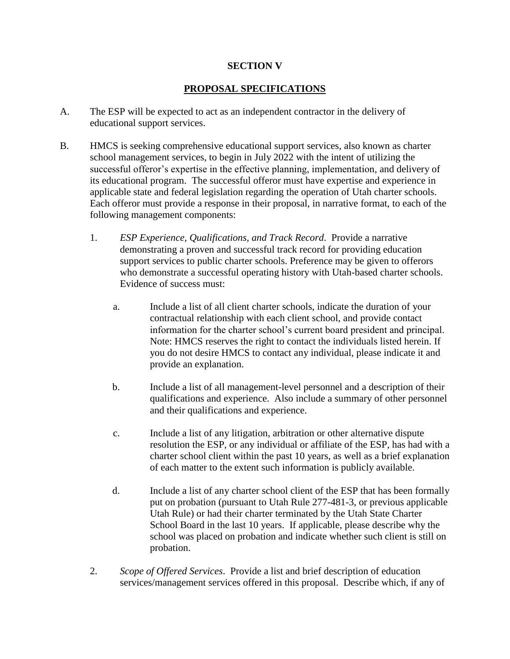#### **SECTION V**

#### **PROPOSAL SPECIFICATIONS**

- A. The ESP will be expected to act as an independent contractor in the delivery of educational support services.
- B. HMCS is seeking comprehensive educational support services, also known as charter school management services, to begin in July 2022 with the intent of utilizing the successful offeror's expertise in the effective planning, implementation, and delivery of its educational program. The successful offeror must have expertise and experience in applicable state and federal legislation regarding the operation of Utah charter schools. Each offeror must provide a response in their proposal, in narrative format, to each of the following management components:
	- 1. *ESP Experience, Qualifications, and Track Record*. Provide a narrative demonstrating a proven and successful track record for providing education support services to public charter schools. Preference may be given to offerors who demonstrate a successful operating history with Utah-based charter schools. Evidence of success must:
		- a. Include a list of all client charter schools, indicate the duration of your contractual relationship with each client school, and provide contact information for the charter school's current board president and principal. Note: HMCS reserves the right to contact the individuals listed herein. If you do not desire HMCS to contact any individual, please indicate it and provide an explanation.
		- b. Include a list of all management-level personnel and a description of their qualifications and experience. Also include a summary of other personnel and their qualifications and experience.
		- c. Include a list of any litigation, arbitration or other alternative dispute resolution the ESP, or any individual or affiliate of the ESP, has had with a charter school client within the past 10 years, as well as a brief explanation of each matter to the extent such information is publicly available.
		- d. Include a list of any charter school client of the ESP that has been formally put on probation (pursuant to Utah Rule 277-481-3, or previous applicable Utah Rule) or had their charter terminated by the Utah State Charter School Board in the last 10 years. If applicable, please describe why the school was placed on probation and indicate whether such client is still on probation.
	- 2. *Scope of Offered Services*. Provide a list and brief description of education services/management services offered in this proposal. Describe which, if any of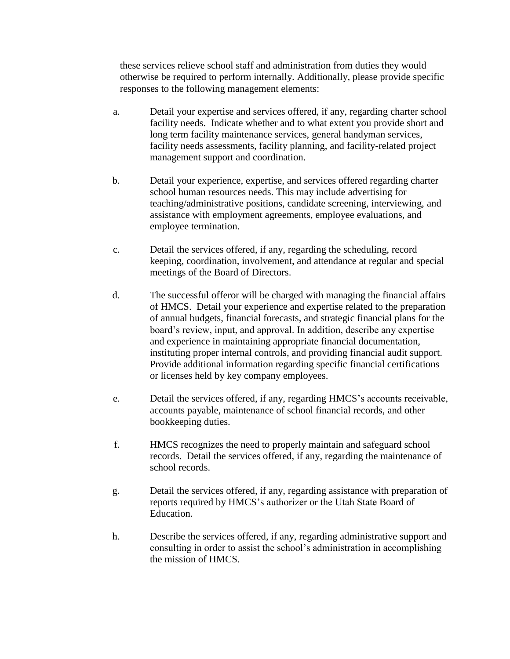these services relieve school staff and administration from duties they would otherwise be required to perform internally. Additionally, please provide specific responses to the following management elements:

- a. Detail your expertise and services offered, if any, regarding charter school facility needs. Indicate whether and to what extent you provide short and long term facility maintenance services, general handyman services, facility needs assessments, facility planning, and facility-related project management support and coordination.
- b. Detail your experience, expertise, and services offered regarding charter school human resources needs. This may include advertising for teaching/administrative positions, candidate screening, interviewing, and assistance with employment agreements, employee evaluations, and employee termination.
- c. Detail the services offered, if any, regarding the scheduling, record keeping, coordination, involvement, and attendance at regular and special meetings of the Board of Directors.
- d. The successful offeror will be charged with managing the financial affairs of HMCS. Detail your experience and expertise related to the preparation of annual budgets, financial forecasts, and strategic financial plans for the board's review, input, and approval. In addition, describe any expertise and experience in maintaining appropriate financial documentation, instituting proper internal controls, and providing financial audit support. Provide additional information regarding specific financial certifications or licenses held by key company employees.
- e. Detail the services offered, if any, regarding HMCS's accounts receivable, accounts payable, maintenance of school financial records, and other bookkeeping duties.
- f. HMCS recognizes the need to properly maintain and safeguard school records. Detail the services offered, if any, regarding the maintenance of school records.
- g. Detail the services offered, if any, regarding assistance with preparation of reports required by HMCS's authorizer or the Utah State Board of Education.
- h. Describe the services offered, if any, regarding administrative support and consulting in order to assist the school's administration in accomplishing the mission of HMCS.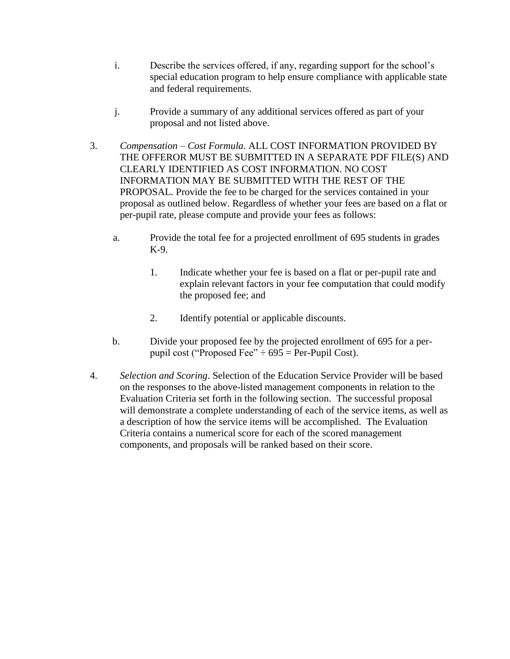- i. Describe the services offered, if any, regarding support for the school's special education program to help ensure compliance with applicable state and federal requirements.
- j. Provide a summary of any additional services offered as part of your proposal and not listed above.
- 3. *Compensation – Cost Formula*. ALL COST INFORMATION PROVIDED BY THE OFFEROR MUST BE SUBMITTED IN A SEPARATE PDF FILE(S) AND CLEARLY IDENTIFIED AS COST INFORMATION. NO COST INFORMATION MAY BE SUBMITTED WITH THE REST OF THE PROPOSAL. Provide the fee to be charged for the services contained in your proposal as outlined below. Regardless of whether your fees are based on a flat or per-pupil rate, please compute and provide your fees as follows:
	- a. Provide the total fee for a projected enrollment of 695 students in grades K-9.
		- 1. Indicate whether your fee is based on a flat or per-pupil rate and explain relevant factors in your fee computation that could modify the proposed fee; and
		- 2. Identify potential or applicable discounts.
	- b. Divide your proposed fee by the projected enrollment of 695 for a perpupil cost ("Proposed Fee"  $\div$  695 = Per-Pupil Cost).
- 4. *Selection and Scoring*. Selection of the Education Service Provider will be based on the responses to the above-listed management components in relation to the Evaluation Criteria set forth in the following section. The successful proposal will demonstrate a complete understanding of each of the service items, as well as a description of how the service items will be accomplished. The Evaluation Criteria contains a numerical score for each of the scored management components, and proposals will be ranked based on their score.